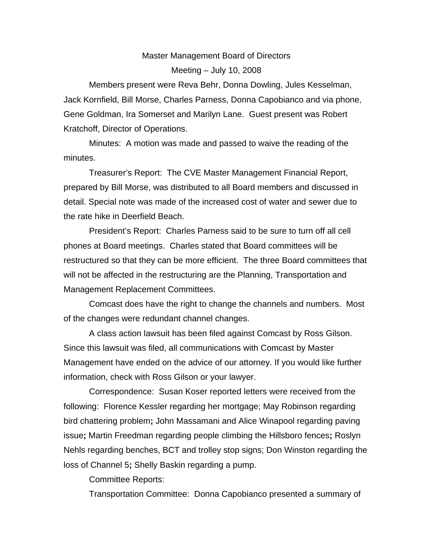## Master Management Board of Directors Meeting – July 10, 2008

Members present were Reva Behr, Donna Dowling, Jules Kesselman, Jack Kornfield, Bill Morse, Charles Parness, Donna Capobianco and via phone, Gene Goldman, Ira Somerset and Marilyn Lane. Guest present was Robert Kratchoff, Director of Operations.

Minutes:A motion was made and passed to waive the reading of the minutes.

Treasurer's Report:The CVE Master Management Financial Report, prepared by Bill Morse, was distributed to all Board members and discussed in detail. Special note was made of the increased cost of water and sewer due to the rate hike in Deerfield Beach.

President's Report:Charles Parness said to be sure to turn off all cell phones at Board meetings.Charles stated that Board committees will be restructured so that they can be more efficient. The three Board committees that will not be affected in the restructuring are the Planning, Transportation and Management Replacement Committees.

Comcast does have the right to change the channels and numbers. Most of the changes were redundant channel changes.

A class action lawsuit has been filed against Comcast by Ross Gilson. Since this lawsuit was filed, all communications with Comcast by Master Management have ended on the advice of our attorney. If you would like further information, check with Ross Gilson or your lawyer.

Correspondence: Susan Koser reported letters were received from the following: Florence Kessler regarding her mortgage; May Robinson regarding bird chattering problem**;** John Massamani and Alice Winapool regarding paving issue**;** Martin Freedman regarding people climbing the Hillsboro fences**;** Roslyn Nehls regarding benches, BCT and trolley stop signs; Don Winston regarding the loss of Channel 5**;** Shelly Baskin regarding a pump.

Committee Reports:

Transportation Committee:Donna Capobianco presented a summary of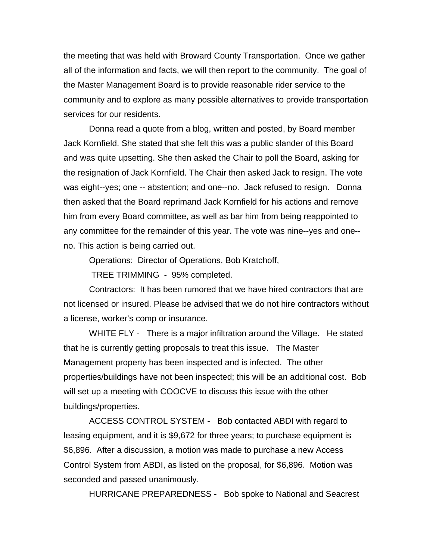the meeting that was held with Broward County Transportation. Once we gather all of the information and facts, we will then report to the community. The goal of the Master Management Board is to provide reasonable rider service to the community and to explore as many possible alternatives to provide transportation services for our residents.

Donna read a quote from a blog, written and posted, by Board member Jack Kornfield. She stated that she felt this was a public slander of this Board and was quite upsetting. She then asked the Chair to poll the Board, asking for the resignation of Jack Kornfield. The Chair then asked Jack to resign. The vote was eight--yes; one -- abstention; and one--no. Jack refused to resign. Donna then asked that the Board reprimand Jack Kornfield for his actions and remove him from every Board committee, as well as bar him from being reappointed to any committee for the remainder of this year. The vote was nine--yes and one- no. This action is being carried out.

Operations:Director of Operations, Bob Kratchoff,

TREE TRIMMING - 95% completed.

Contractors: It has been rumored that we have hired contractors that are not licensed or insured. Please be advised that we do not hire contractors without a license, worker's comp or insurance.

WHITE FLY - There is a major infiltration around the Village. He stated that he is currently getting proposals to treat this issue. The Master Management property has been inspected and is infected. The other properties/buildings have not been inspected; this will be an additional cost. Bob will set up a meeting with COOCVE to discuss this issue with the other buildings/properties.

ACCESS CONTROL SYSTEM - Bob contacted ABDI with regard to leasing equipment, and it is \$9,672 for three years; to purchase equipment is \$6,896. After a discussion, a motion was made to purchase a new Access Control System from ABDI, as listed on the proposal, for \$6,896. Motion was seconded and passed unanimously.

HURRICANE PREPAREDNESS - Bob spoke to National and Seacrest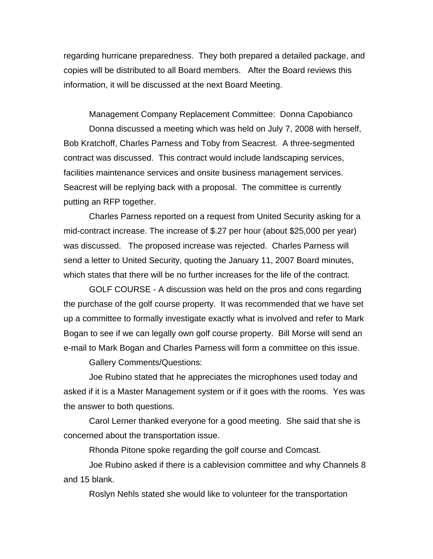regarding hurricane preparedness. They both prepared a detailed package, and copies will be distributed to all Board members. After the Board reviews this information, it will be discussed at the next Board Meeting.

Management Company Replacement Committee:Donna Capobianco Donna discussed a meeting which was held on July 7, 2008 with herself, Bob Kratchoff, Charles Parness and Toby from Seacrest. A three-segmented contract was discussed. This contract would include landscaping services, facilities maintenance services and onsite business management services. Seacrest will be replying back with a proposal. The committee is currently putting an RFP together.

Charles Parness reported on a request from United Security asking for a mid-contract increase. The increase of \$.27 per hour (about \$25,000 per year) was discussed. The proposed increase was rejected. Charles Parness will send a letter to United Security, quoting the January 11, 2007 Board minutes, which states that there will be no further increases for the life of the contract.

GOLF COURSE - A discussion was held on the pros and cons regarding the purchase of the golf course property. It was recommended that we have set up a committee to formally investigate exactly what is involved and refer to Mark Bogan to see if we can legally own golf course property. Bill Morse will send an e-mail to Mark Bogan and Charles Parness will form a committee on this issue.

Gallery Comments/Questions:

Joe Rubino stated that he appreciates the microphones used today and asked if it is a Master Management system or if it goes with the rooms. Yes was the answer to both questions.

Carol Lerner thanked everyone for a good meeting. She said that she is concerned about the transportation issue.

Rhonda Pitone spoke regarding the golf course and Comcast.

Joe Rubino asked if there is a cablevision committee and why Channels 8 and 15 blank.

Roslyn Nehls stated she would like to volunteer for the transportation